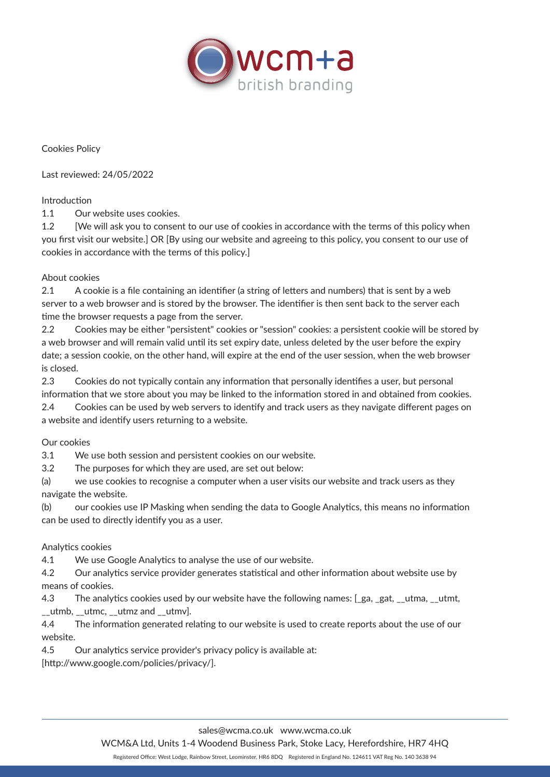

Cookies Policy

Last reviewed: 24/05/2022

# Introduction

1.1 Our website uses cookies.

1.2 [We will ask you to consent to our use of cookies in accordance with the terms of this policy when you first visit our website.] OR [By using our website and agreeing to this policy, you consent to our use of cookies in accordance with the terms of this policy.]

# About cookies

2.1 A cookie is a file containing an identifier (a string of letters and numbers) that is sent by a web server to a web browser and is stored by the browser. The identifier is then sent back to the server each time the browser requests a page from the server.

2.2 Cookies may be either "persistent" cookies or "session" cookies: a persistent cookie will be stored by a web browser and will remain valid until its set expiry date, unless deleted by the user before the expiry date; a session cookie, on the other hand, will expire at the end of the user session, when the web browser is closed.

2.3 Cookies do not typically contain any information that personally identifies a user, but personal information that we store about you may be linked to the information stored in and obtained from cookies. 2.4 Cookies can be used by web servers to identify and track users as they navigate different pages on a website and identify users returning to a website.

### Our cookies

3.1 We use both session and persistent cookies on our website.

3.2 The purposes for which they are used, are set out below:

(a) we use cookies to recognise a computer when a user visits our website and track users as they navigate the website.

(b) our cookies use IP Masking when sending the data to Google Analytics, this means no information can be used to directly identify you as a user.

# Analytics cookies

4.1 We use Google Analytics to analyse the use of our website.

4.2 Our analytics service provider generates statistical and other information about website use by means of cookies.

4.3 The analytics cookies used by our website have the following names: [ga, gat, \_utma, \_utmt, utmb, utmc, utmz and utmv].

4.4 The information generated relating to our website is used to create reports about the use of our website.

4.5 Our analytics service provider's privacy policy is available at:

[http://www.google.com/policies/privacy/].

WCM&A Ltd, Units 1-4 Woodend Business Park, Stoke Lacy, Herefordshire, HR7 4HQ